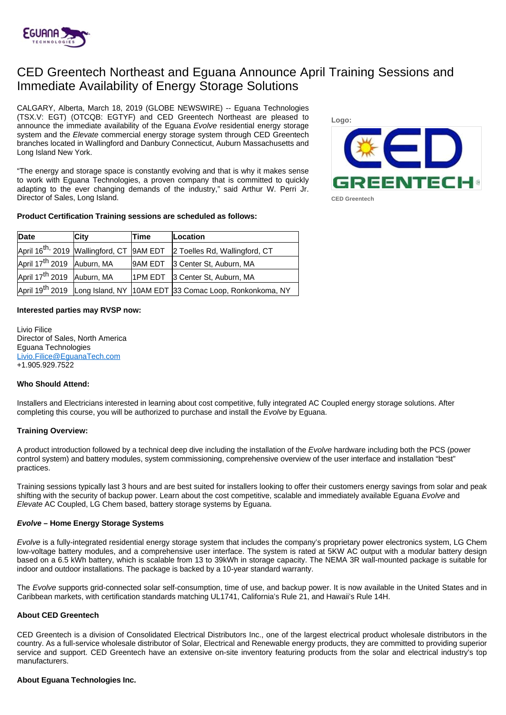

# CED Greentech Northeast and Eguana Announce April Training Sessions and Immediate Availability of Energy Storage Solutions

CALGARY, Alberta, March 18, 2019 (GLOBE NEWSWIRE) -- Eguana Technologies (TSX.V: EGT) (OTCQB: EGTYF) and CED Greentech Northeast are pleased to announce the immediate availability of the Eguana Evolve residential energy storage system and the Elevate commercial energy storage system through CED Greentech branches located in Wallingford and Danbury Connecticut, Auburn Massachusetts and Long Island New York.

"The energy and storage space is constantly evolving and that is why it makes sense to work with Eguana Technologies, a proven company that is committed to quickly adapting to the ever changing demands of the industry," said Arthur W. Perri Jr. Director of Sales, Long Island.

## **Product Certification Training sessions are scheduled as follows:**



**Date City Time Location** April 16<sup>th,</sup> 2019 Wallingford, CT 9AM EDT 2 Toelles Rd, Wallingford, CT April 17th 2019 Auburn, MA 9AM EDT 3 Center St, Auburn, MA April 17<sup>th</sup> 2019 Auburn, MA 1PM EDT 3 Center St, Auburn, MA April 19<sup>th</sup> 2019 Long Island, NY 10AM EDT 33 Comac Loop, Ronkonkoma, NY

### **Interested parties may RVSP now:**

Livio Filice Director of Sales, North America Eguana Technologies [Livio.Filice@EguanaTech.com](mailto:Livio.Filice@EguanaTech.com) +1.905.929.7522

### **Who Should Attend:**

Installers and Electricians interested in learning about cost competitive, fully integrated AC Coupled energy storage solutions. After completing this course, you will be authorized to purchase and install the Evolve by Eguana.

### **Training Overview:**

A product introduction followed by a technical deep dive including the installation of the Evolve hardware including both the PCS (power control system) and battery modules, system commissioning, comprehensive overview of the user interface and installation "best" practices.

Training sessions typically last 3 hours and are best suited for installers looking to offer their customers energy savings from solar and peak shifting with the security of backup power. Learn about the cost competitive, scalable and immediately available Eguana Evolve and Elevate AC Coupled, LG Chem based, battery storage systems by Eguana.

### **Evolve – Home Energy Storage Systems**

Evolve is a fully-integrated residential energy storage system that includes the company's proprietary power electronics system, LG Chem low-voltage battery modules, and a comprehensive user interface. The system is rated at 5KW AC output with a modular battery design based on a 6.5 kWh battery, which is scalable from 13 to 39kWh in storage capacity. The NEMA 3R wall-mounted package is suitable for indoor and outdoor installations. The package is backed by a 10-year standard warranty.

The Evolve supports grid-connected solar self-consumption, time of use, and backup power. It is now available in the United States and in Caribbean markets, with certification standards matching UL1741, California's Rule 21, and Hawaii's Rule 14H.

### **About CED Greentech**

CED Greentech is a division of Consolidated Electrical Distributors Inc., one of the largest electrical product wholesale distributors in the country. As a full-service wholesale distributor of Solar, Electrical and Renewable energy products, they are committed to providing superior service and support. CED Greentech have an extensive on-site inventory featuring products from the solar and electrical industry's top manufacturers.

### **About Eguana Technologies Inc.**